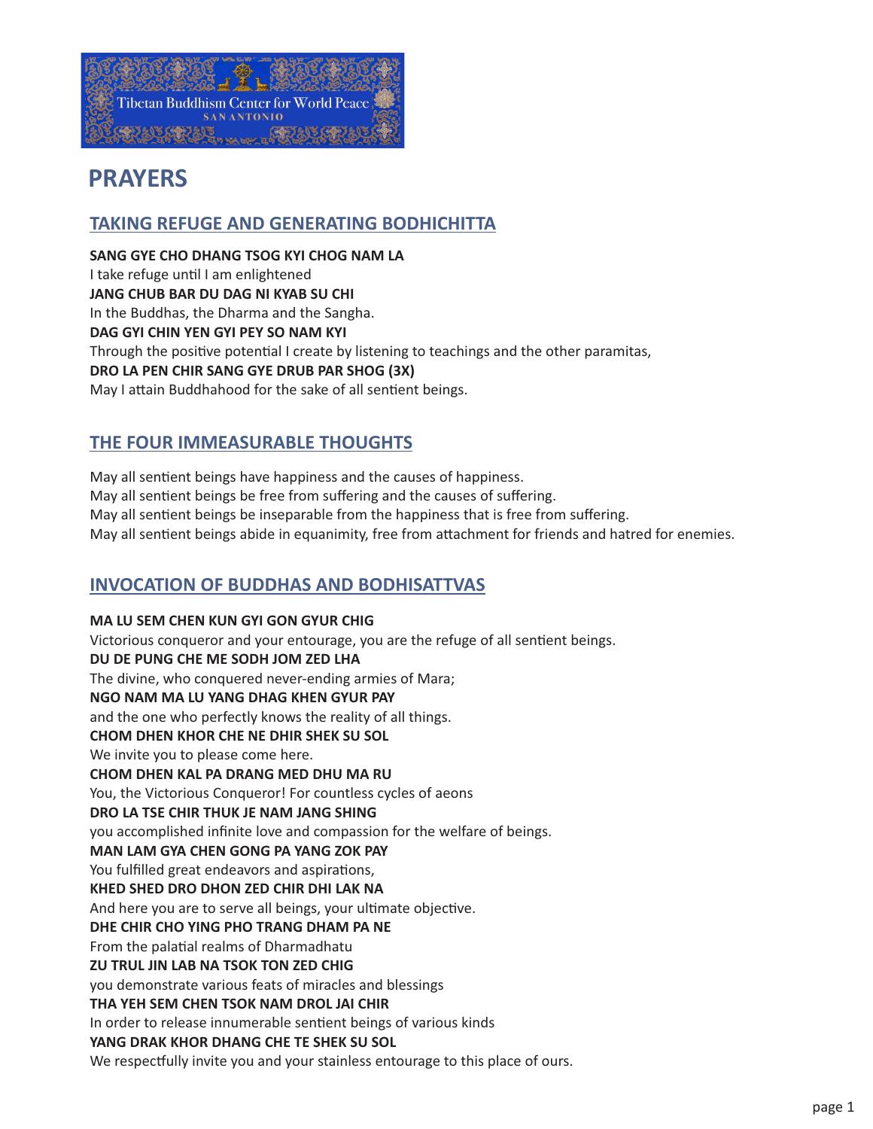

# **PRAYERS**

# **TAKING REFUGE AND GENERATING BODHICHITTA**

**SANG GYE CHO DHANG TSOG KYI CHOG NAM LA** I take refuge until I am enlightened **JANG CHUB BAR DU DAG NI KYAB SU CHI** In the Buddhas, the Dharma and the Sangha. **DAG GYI CHIN YEN GYI PEY SO NAM KYI** Through the positive potential I create by listening to teachings and the other paramitas, **DRO LA PEN CHIR SANG GYE DRUB PAR SHOG (3X)** May I attain Buddhahood for the sake of all sentient beings.

# **THE FOUR IMMEASURABLE THOUGHTS**

May all sentient beings have happiness and the causes of happiness. May all sentient beings be free from suffering and the causes of suffering. May all sentient beings be inseparable from the happiness that is free from suffering. May all sentient beings abide in equanimity, free from attachment for friends and hatred for enemies.

# **INVOCATION OF BUDDHAS AND BODHISATTVAS**

**MA LU SEM CHEN KUN GYI GON GYUR CHIG** Victorious conqueror and your entourage, you are the refuge of all sentient beings. **DU DE PUNG CHE ME SODH JOM ZED LHA** The divine, who conquered never-ending armies of Mara; **NGO NAM MA LU YANG DHAG KHEN GYUR PAY**  and the one who perfectly knows the reality of all things. **CHOM DHEN KHOR CHE NE DHIR SHEK SU SOL** We invite you to please come here. **CHOM DHEN KAL PA DRANG MED DHU MA RU** You, the Victorious Conqueror! For countless cycles of aeons **DRO LA TSE CHIR THUK JE NAM JANG SHING**  you accomplished infinite love and compassion for the welfare of beings. **MAN LAM GYA CHEN GONG PA YANG ZOK PAY** You fulfilled great endeavors and aspirations, **KHED SHED DRO DHON ZED CHIR DHI LAK NA** And here you are to serve all beings, your ultimate objective. **DHE CHIR CHO YING PHO TRANG DHAM PA NE** From the palatial realms of Dharmadhatu **ZU TRUL JIN LAB NA TSOK TON ZED CHIG** you demonstrate various feats of miracles and blessings **THA YEH SEM CHEN TSOK NAM DROL JAI CHIR** In order to release innumerable sentient beings of various kinds **YANG DRAK KHOR DHANG CHE TE SHEK SU SOL**  We respectfully invite you and your stainless entourage to this place of ours.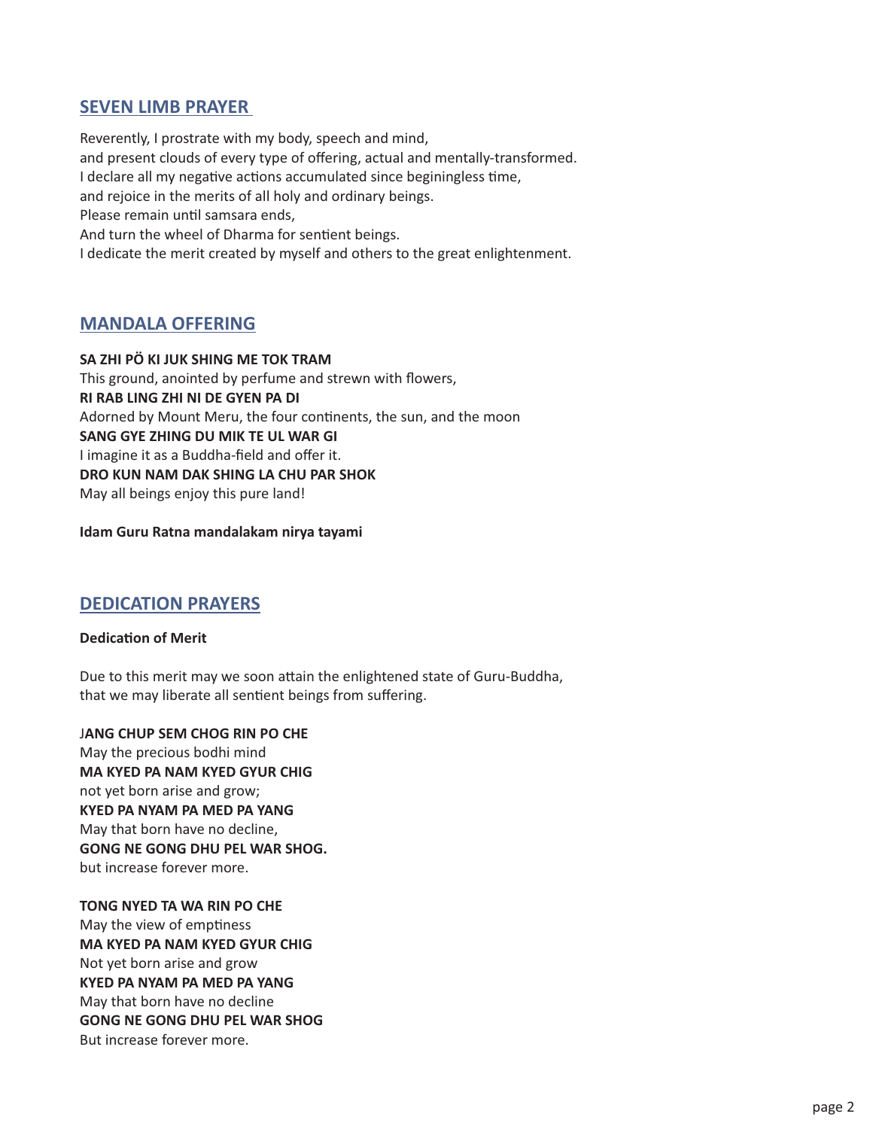## **SEVEN LIMB PRAYER**

Reverently, I prostrate with my body, speech and mind, and present clouds of every type of offering, actual and mentally-transformed. I declare all my negative actions accumulated since beginingless time, and rejoice in the merits of all holy and ordinary beings. Please remain until samsara ends, And turn the wheel of Dharma for sentient beings. I dedicate the merit created by myself and others to the great enlightenment.

# **MANDALA OFFERING**

**SA ZHI PÖ KI JUK SHING ME TOK TRAM** This ground, anointed by perfume and strewn with flowers, **RI RAB LING ZHI NI DE GYEN PA DI** Adorned by Mount Meru, the four continents, the sun, and the moon **SANG GYE ZHING DU MIK TE UL WAR GI** I imagine it as a Buddha-field and offer it. **DRO KUN NAM DAK SHING LA CHU PAR SHOK** May all beings enjoy this pure land!

#### **Idam Guru Ratna mandalakam nirya tayami**

### **DEDICATION PRAYERS**

#### **Dedication of Merit**

Due to this merit may we soon attain the enlightened state of Guru-Buddha, that we may liberate all sentient beings from suffering.

J**ANG CHUP SEM CHOG RIN PO CHE** May the precious bodhi mind **MA KYED PA NAM KYED GYUR CHIG** not yet born arise and grow; **KYED PA NYAM PA MED PA YANG** May that born have no decline, **GONG NE GONG DHU PEL WAR SHOG.** but increase forever more.

**TONG NYED TA WA RIN PO CHE** May the view of emptiness **MA KYED PA NAM KYED GYUR CHIG** Not yet born arise and grow **KYED PA NYAM PA MED PA YANG** May that born have no decline **GONG NE GONG DHU PEL WAR SHOG** But increase forever more.